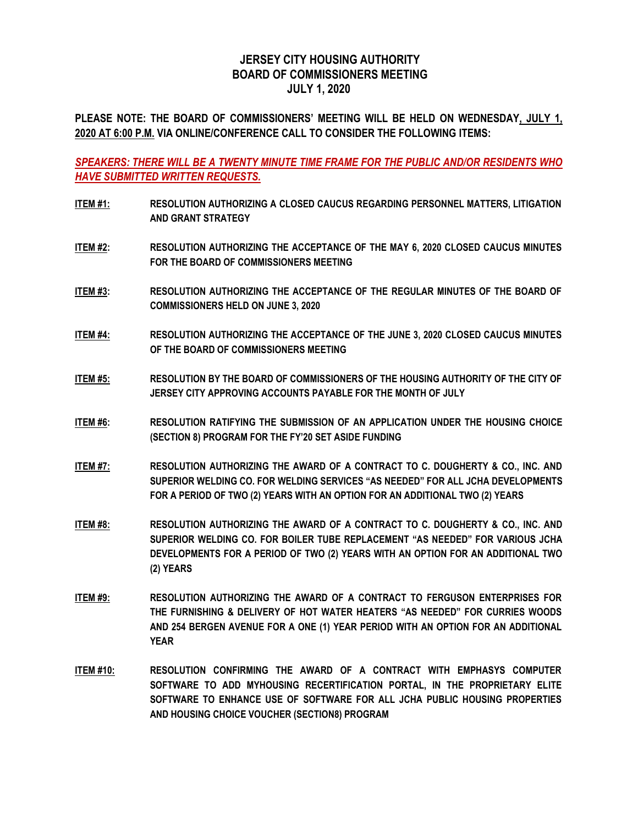## **JERSEY CITY HOUSING AUTHORITY BOARD OF COMMISSIONERS MEETING JULY 1, 2020**

**PLEASE NOTE: THE BOARD OF COMMISSIONERS' MEETING WILL BE HELD ON WEDNESDAY, JULY 1, 2020 AT 6:00 P.M. VIA ONLINE/CONFERENCE CALL TO CONSIDER THE FOLLOWING ITEMS:**

*SPEAKERS: THERE WILL BE A TWENTY MINUTE TIME FRAME FOR THE PUBLIC AND/OR RESIDENTS WHO HAVE SUBMITTED WRITTEN REQUESTS.*

- **ITEM #1: RESOLUTION AUTHORIZING A CLOSED CAUCUS REGARDING PERSONNEL MATTERS, LITIGATION AND GRANT STRATEGY**
- **ITEM #2: RESOLUTION AUTHORIZING THE ACCEPTANCE OF THE MAY 6, 2020 CLOSED CAUCUS MINUTES FOR THE BOARD OF COMMISSIONERS MEETING**
- **ITEM #3: RESOLUTION AUTHORIZING THE ACCEPTANCE OF THE REGULAR MINUTES OF THE BOARD OF COMMISSIONERS HELD ON JUNE 3, 2020**
- **ITEM #4: RESOLUTION AUTHORIZING THE ACCEPTANCE OF THE JUNE 3, 2020 CLOSED CAUCUS MINUTES OF THE BOARD OF COMMISSIONERS MEETING**
- **ITEM #5: RESOLUTION BY THE BOARD OF COMMISSIONERS OF THE HOUSING AUTHORITY OF THE CITY OF JERSEY CITY APPROVING ACCOUNTS PAYABLE FOR THE MONTH OF JULY**
- **ITEM #6: RESOLUTION RATIFYING THE SUBMISSION OF AN APPLICATION UNDER THE HOUSING CHOICE (SECTION 8) PROGRAM FOR THE FY'20 SET ASIDE FUNDING**
- **ITEM #7: RESOLUTION AUTHORIZING THE AWARD OF A CONTRACT TO C. DOUGHERTY & CO., INC. AND SUPERIOR WELDING CO. FOR WELDING SERVICES "AS NEEDED" FOR ALL JCHA DEVELOPMENTS FOR A PERIOD OF TWO (2) YEARS WITH AN OPTION FOR AN ADDITIONAL TWO (2) YEARS**
- **ITEM #8: RESOLUTION AUTHORIZING THE AWARD OF A CONTRACT TO C. DOUGHERTY & CO., INC. AND SUPERIOR WELDING CO. FOR BOILER TUBE REPLACEMENT "AS NEEDED" FOR VARIOUS JCHA DEVELOPMENTS FOR A PERIOD OF TWO (2) YEARS WITH AN OPTION FOR AN ADDITIONAL TWO (2) YEARS**
- **ITEM #9: RESOLUTION AUTHORIZING THE AWARD OF A CONTRACT TO FERGUSON ENTERPRISES FOR THE FURNISHING & DELIVERY OF HOT WATER HEATERS "AS NEEDED" FOR CURRIES WOODS AND 254 BERGEN AVENUE FOR A ONE (1) YEAR PERIOD WITH AN OPTION FOR AN ADDITIONAL YEAR**
- **ITEM #10: RESOLUTION CONFIRMING THE AWARD OF A CONTRACT WITH EMPHASYS COMPUTER SOFTWARE TO ADD MYHOUSING RECERTIFICATION PORTAL, IN THE PROPRIETARY ELITE SOFTWARE TO ENHANCE USE OF SOFTWARE FOR ALL JCHA PUBLIC HOUSING PROPERTIES AND HOUSING CHOICE VOUCHER (SECTION8) PROGRAM**